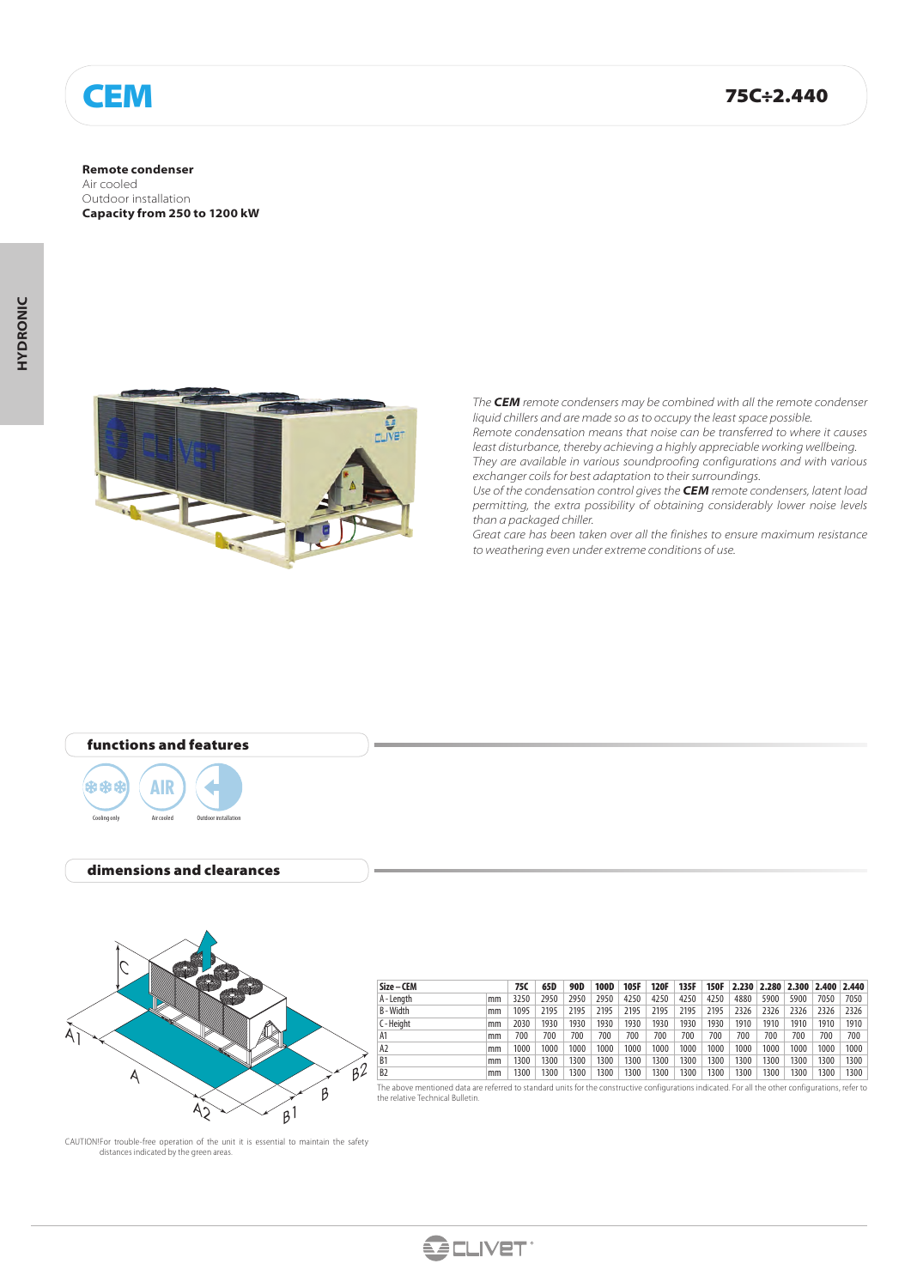

#### **Remote condenser**

Air cooled Outdoor installation **Capacity from 250 to 1200 kW**



*The CEM remote condensers may be combined with all the remote condenser liquid chillers and are made so as to occupy the least space possible.*

*Remote condensation means that noise can be transferred to where it causes least disturbance, thereby achieving a highly appreciable working wellbeing. They are available in various soundproofing configurations and with various exchanger coils for best adaptation to their surroundings.*

*Use of the condensation control gives the CEM remote condensers, latent load permitting, the extra possibility of obtaining considerably lower noise levels than a packaged chiller.*

*Great care has been taken over all the finishes to ensure maximum resistance to weathering even under extreme conditions of use.*

# functions and features



### dimensions and clearances



| Size – CEM     |    | 75C  | 65D  | 90D  | <b>100D</b> | 105F | <b>120F</b> | 135F | 150F |      | 2.230 2.280 2.300 2.400 2.440 |      |      |      |
|----------------|----|------|------|------|-------------|------|-------------|------|------|------|-------------------------------|------|------|------|
| A - Length     | mm | 3250 | 2950 | 2950 | 2950        | 4250 | 4250        | 4250 | 4250 | 4880 | 5900                          | 5900 | 7050 | 7050 |
| B-Width        | mm | 1095 | 2195 | 2195 | 2195        | 2195 | 2195        | 2195 | 2195 | 2326 | 2326                          | 2326 | 2326 | 2326 |
| C-Height       | mm | 2030 | 1930 | 1930 | 1930        | 1930 | 1930        | 1930 | 1930 | 1910 | 1910                          | 1910 | 1910 | 1910 |
| A1             | mm | 700  | 700  | 700  | 700         | 700  | 700         | 700  | 700  | 700  | 700                           | 700  | 700  | 700  |
| A2             | mm | 1000 | 1000 | 1000 | 1000        | 1000 | 1000        | 1000 | 1000 | 1000 | 1000                          | 1000 | 1000 | 1000 |
| B <sub>1</sub> | mm | 1300 | 1300 | 1300 | 1300        | 1300 | 1300        | 1300 | 1300 | 1300 | 1300                          | 300  | 1300 | 1300 |
| B <sub>2</sub> | mm | 1300 | 1300 | 1300 | 300         | 1300 | 1300        | 1300 | 1300 | 1300 | 1300                          | 300  | 1300 | 1300 |

The above mentioned data are referred to standard units for the constructive configurations indicated. For all the other configurations, refer to the relative Technical Bulletin.

CAUTION! For trouble-free operation of the unit it is essential to maintain the safety distances indicated by the green areas.